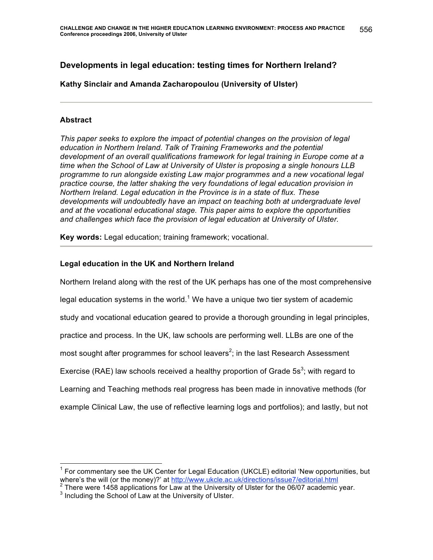# **Developments in legal education: testing times for Northern Ireland?**

## **Kathy Sinclair and Amanda Zacharopoulou (University of Ulster)**

### **Abstract**

*This paper seeks to explore the impact of potential changes on the provision of legal education in Northern Ireland. Talk of Training Frameworks and the potential development of an overall qualifications framework for legal training in Europe come at a time when the School of Law at University of Ulster is proposing a single honours LLB programme to run alongside existing Law major programmes and a new vocational legal practice course, the latter shaking the very foundations of legal education provision in Northern Ireland. Legal education in the Province is in a state of flux. These developments will undoubtedly have an impact on teaching both at undergraduate level and at the vocational educational stage. This paper aims to explore the opportunities and challenges which face the provision of legal education at University of Ulster.*

**Key words:** Legal education; training framework; vocational.

### **Legal education in the UK and Northern Ireland**

Northern Ireland along with the rest of the UK perhaps has one of the most comprehensive legal education systems in the world.<sup>1</sup> We have a unique two tier system of academic study and vocational education geared to provide a thorough grounding in legal principles, practice and process. In the UK, law schools are performing well. LLBs are one of the most sought after programmes for school leavers<sup>2</sup>; in the last Research Assessment Exercise (RAE) law schools received a healthy proportion of Grade 5s<sup>3</sup>; with regard to Learning and Teaching methods real progress has been made in innovative methods (for example Clinical Law, the use of reflective learning logs and portfolios); and lastly, but not

1 For commentary see the UK Center for Legal Education (UKCLE) editorial 'New opportunities, but where's the will (or the money)?' at http://www.ukcle.ac.uk/directions/issue7/editorial.html <sup>2</sup> There were 1458 applications for Law at the University of Ulster for the 06/07 academic year.

<sup>&</sup>lt;sup>3</sup> Including the School of Law at the University of Ulster.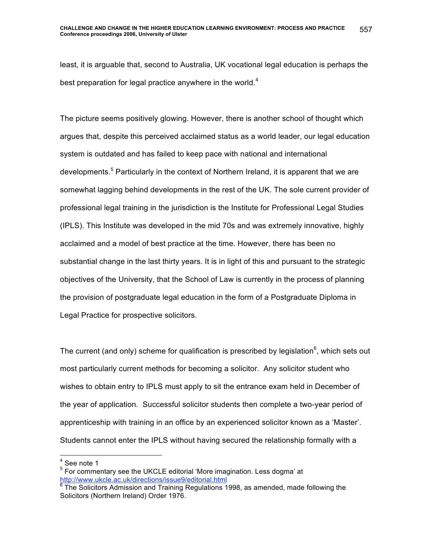least, it is arguable that, second to Australia, UK vocational legal education is perhaps the best preparation for legal practice anywhere in the world. $4$ 

The picture seems positively glowing. However, there is another school of thought which argues that, despite this perceived acclaimed status as a world leader, our legal education system is outdated and has failed to keep pace with national and international developments.<sup>5</sup> Particularly in the context of Northern Ireland, it is apparent that we are somewhat lagging behind developments in the rest of the UK. The sole current provider of professional legal training in the jurisdiction is the Institute for Professional Legal Studies (IPLS). This Institute was developed in the mid 70s and was extremely innovative, highly acclaimed and a model of best practice at the time. However, there has been no substantial change in the last thirty years. It is in light of this and pursuant to the strategic objectives of the University, that the School of Law is currently in the process of planning the provision of postgraduate legal education in the form of a Postgraduate Diploma in Legal Practice for prospective solicitors.

The current (and only) scheme for qualification is prescribed by legislation<sup>6</sup>, which sets out most particularly current methods for becoming a solicitor. Any solicitor student who wishes to obtain entry to IPLS must apply to sit the entrance exam held in December of the year of application. Successful solicitor students then complete a two-year period of apprenticeship with training in an office by an experienced solicitor known as a 'Master'. Students cannot enter the IPLS without having secured the relationship formally with a

 $<sup>4</sup>$  See note 1</sup>

<sup>&</sup>lt;sup>5</sup> For commentary see the UKCLE editorial 'More imagination. Less dogma' at http://www.ukcle.ac.uk/directions/issue9/editorial.html

 $6$  The Solicitors Admission and Training Regulations 1998, as amended, made following the Solicitors (Northern Ireland) Order 1976.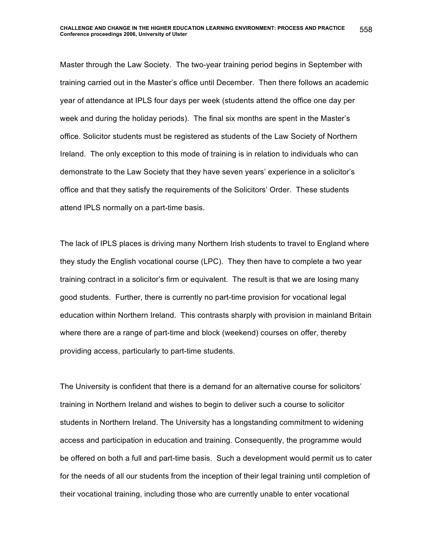Master through the Law Society. The two-year training period begins in September with training carried out in the Master's office until December. Then there follows an academic year of attendance at IPLS four days per week (students attend the office one day per week and during the holiday periods). The final six months are spent in the Master's office. Solicitor students must be registered as students of the Law Society of Northern Ireland. The only exception to this mode of training is in relation to individuals who can demonstrate to the Law Society that they have seven years' experience in a solicitor's office and that they satisfy the requirements of the Solicitors' Order. These students attend IPLS normally on a part-time basis.

The lack of IPLS places is driving many Northern Irish students to travel to England where they study the English vocational course (LPC). They then have to complete a two year training contract in a solicitor's firm or equivalent. The result is that we are losing many good students. Further, there is currently no part-time provision for vocational legal education within Northern Ireland. This contrasts sharply with provision in mainland Britain where there are a range of part-time and block (weekend) courses on offer, thereby providing access, particularly to part-time students.

The University is confident that there is a demand for an alternative course for solicitors' training in Northern Ireland and wishes to begin to deliver such a course to solicitor students in Northern Ireland. The University has a longstanding commitment to widening access and participation in education and training. Consequently, the programme would be offered on both a full and part-time basis. Such a development would permit us to cater for the needs of all our students from the inception of their legal training until completion of their vocational training, including those who are currently unable to enter vocational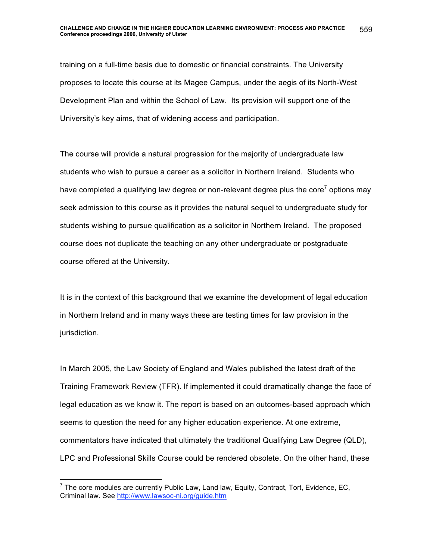training on a full-time basis due to domestic or financial constraints. The University proposes to locate this course at its Magee Campus, under the aegis of its North-West Development Plan and within the School of Law. Its provision will support one of the University's key aims, that of widening access and participation.

The course will provide a natural progression for the majority of undergraduate law students who wish to pursue a career as a solicitor in Northern Ireland. Students who have completed a qualifying law degree or non-relevant degree plus the core<sup>7</sup> options may seek admission to this course as it provides the natural sequel to undergraduate study for students wishing to pursue qualification as a solicitor in Northern Ireland. The proposed course does not duplicate the teaching on any other undergraduate or postgraduate course offered at the University.

It is in the context of this background that we examine the development of legal education in Northern Ireland and in many ways these are testing times for law provision in the jurisdiction.

In March 2005, the Law Society of England and Wales published the latest draft of the Training Framework Review (TFR). If implemented it could dramatically change the face of legal education as we know it. The report is based on an outcomes-based approach which seems to question the need for any higher education experience. At one extreme, commentators have indicated that ultimately the traditional Qualifying Law Degree (QLD), LPC and Professional Skills Course could be rendered obsolete. On the other hand, these

7 The core modules are currently Public Law, Land law, Equity, Contract, Tort, Evidence, EC, Criminal law. See http://www.lawsoc-ni.org/guide.htm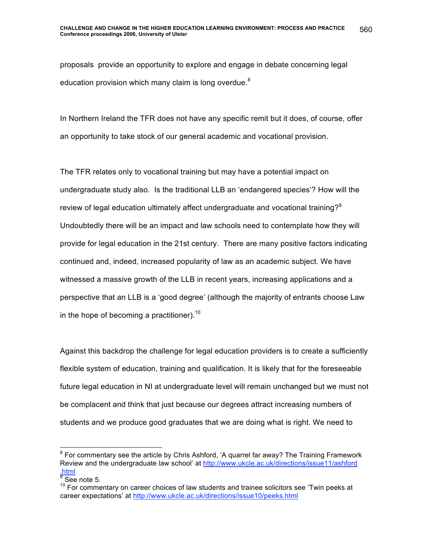proposals provide an opportunity to explore and engage in debate concerning legal education provision which many claim is long overdue.<sup>8</sup>

In Northern Ireland the TFR does not have any specific remit but it does, of course, offer an opportunity to take stock of our general academic and vocational provision.

The TFR relates only to vocational training but may have a potential impact on undergraduate study also. Is the traditional LLB an 'endangered species'? How will the review of legal education ultimately affect undergraduate and vocational training? $9$ Undoubtedly there will be an impact and law schools need to contemplate how they will provide for legal education in the 21st century. There are many positive factors indicating continued and, indeed, increased popularity of law as an academic subject. We have witnessed a massive growth of the LLB in recent years, increasing applications and a perspective that an LLB is a 'good degree' (although the majority of entrants choose Law in the hope of becoming a practitioner).<sup>10</sup>

Against this backdrop the challenge for legal education providers is to create a sufficiently flexible system of education, training and qualification. It is likely that for the foreseeable future legal education in NI at undergraduate level will remain unchanged but we must not be complacent and think that just because our degrees attract increasing numbers of students and we produce good graduates that we are doing what is right. We need to

8 For commentary see the article by Chris Ashford, 'A quarrel far away? The Training Framework Review and the undergraduate law school' at http://www.ukcle.ac.uk/directions/issue11/ashford .html

 $\frac{9}{9}$  See note 5.

 $10$  For commentary on career choices of law students and trainee solicitors see 'Twin peeks at career expectations' at http://www.ukcle.ac.uk/directions/issue10/peeks.html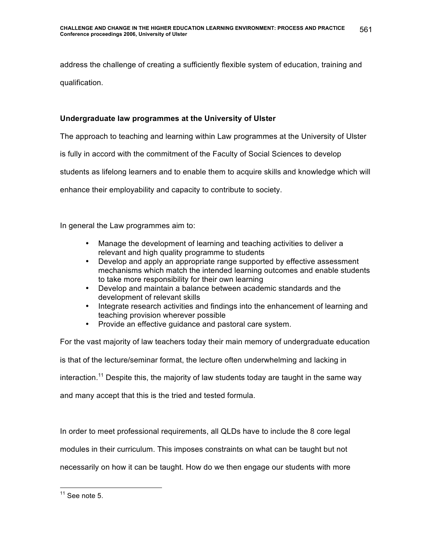address the challenge of creating a sufficiently flexible system of education, training and qualification.

# **Undergraduate law programmes at the University of Ulster**

The approach to teaching and learning within Law programmes at the University of Ulster

is fully in accord with the commitment of the Faculty of Social Sciences to develop

students as lifelong learners and to enable them to acquire skills and knowledge which will

enhance their employability and capacity to contribute to society.

In general the Law programmes aim to:

- Manage the development of learning and teaching activities to deliver a relevant and high quality programme to students
- Develop and apply an appropriate range supported by effective assessment mechanisms which match the intended learning outcomes and enable students to take more responsibility for their own learning
- Develop and maintain a balance between academic standards and the development of relevant skills
- Integrate research activities and findings into the enhancement of learning and teaching provision wherever possible
- Provide an effective guidance and pastoral care system.

For the vast majority of law teachers today their main memory of undergraduate education is that of the lecture/seminar format, the lecture often underwhelming and lacking in interaction.<sup>11</sup> Despite this, the majority of law students today are taught in the same way and many accept that this is the tried and tested formula.

In order to meet professional requirements, all QLDs have to include the 8 core legal

modules in their curriculum. This imposes constraints on what can be taught but not

necessarily on how it can be taught. How do we then engage our students with more

 $11$  See note 5.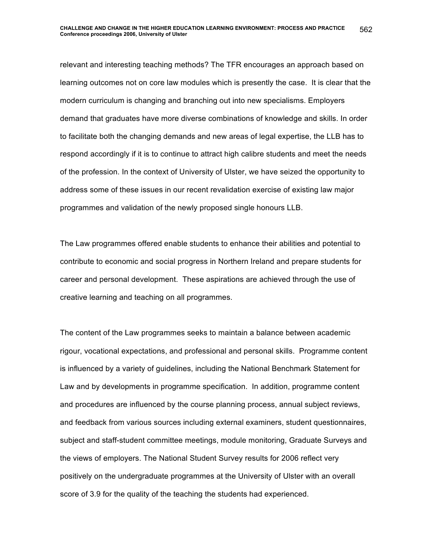relevant and interesting teaching methods? The TFR encourages an approach based on learning outcomes not on core law modules which is presently the case. It is clear that the modern curriculum is changing and branching out into new specialisms. Employers demand that graduates have more diverse combinations of knowledge and skills. In order to facilitate both the changing demands and new areas of legal expertise, the LLB has to respond accordingly if it is to continue to attract high calibre students and meet the needs of the profession. In the context of University of Ulster, we have seized the opportunity to address some of these issues in our recent revalidation exercise of existing law major programmes and validation of the newly proposed single honours LLB.

The Law programmes offered enable students to enhance their abilities and potential to contribute to economic and social progress in Northern Ireland and prepare students for career and personal development. These aspirations are achieved through the use of creative learning and teaching on all programmes.

The content of the Law programmes seeks to maintain a balance between academic rigour, vocational expectations, and professional and personal skills.Programme content is influenced by a variety of guidelines, including the National Benchmark Statement for Law and by developments in programme specification. In addition, programme content and procedures are influenced by the course planning process, annual subject reviews, and feedback from various sources including external examiners, student questionnaires, subject and staff-student committee meetings, module monitoring, Graduate Surveys and the views of employers. The National Student Survey results for 2006 reflect very positively on the undergraduate programmes at the University of Ulster with an overall score of 3.9 for the quality of the teaching the students had experienced.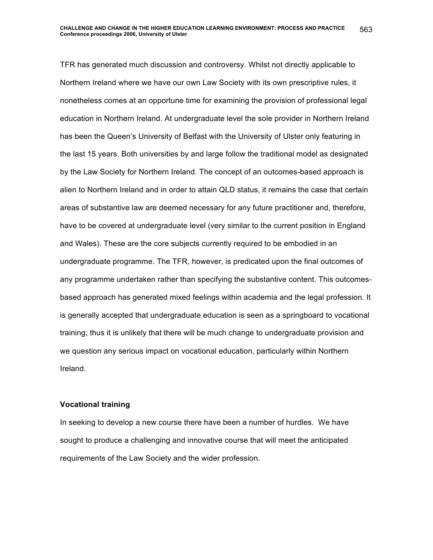TFR has generated much discussion and controversy. Whilst not directly applicable to Northern Ireland where we have our own Law Society with its own prescriptive rules, it nonetheless comes at an opportune time for examining the provision of professional legal education in Northern Ireland. At undergraduate level the sole provider in Northern Ireland has been the Queen's University of Belfast with the University of Ulster only featuring in the last 15 years. Both universities by and large follow the traditional model as designated by the Law Society for Northern Ireland. The concept of an outcomes-based approach is alien to Northern Ireland and in order to attain QLD status, it remains the case that certain areas of substantive law are deemed necessary for any future practitioner and, therefore, have to be covered at undergraduate level (very similar to the current position in England and Wales). These are the core subjects currently required to be embodied in an undergraduate programme. The TFR, however, is predicated upon the final outcomes of any programme undertaken rather than specifying the substantive content. This outcomesbased approach has generated mixed feelings within academia and the legal profession. It is generally accepted that undergraduate education is seen as a springboard to vocational training; thus it is unlikely that there will be much change to undergraduate provision and we question any serious impact on vocational education, particularly within Northern Ireland.

#### **Vocational training**

In seeking to develop a new course there have been a number of hurdles. We have sought to produce a challenging and innovative course that will meet the anticipated requirements of the Law Society and the wider profession.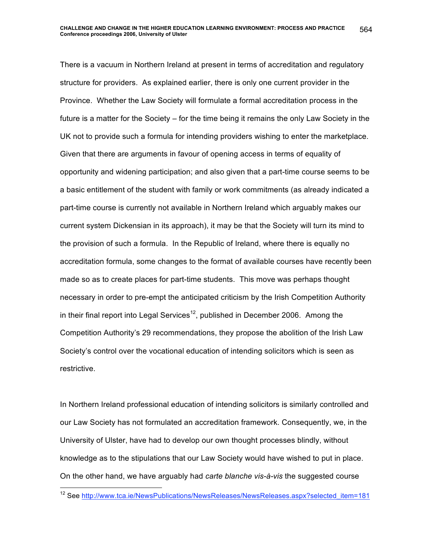There is a vacuum in Northern Ireland at present in terms of accreditation and regulatory structure for providers. As explained earlier, there is only one current provider in the Province. Whether the Law Society will formulate a formal accreditation process in the future is a matter for the Society – for the time being it remains the only Law Society in the UK not to provide such a formula for intending providers wishing to enter the marketplace. Given that there are arguments in favour of opening access in terms of equality of opportunity and widening participation; and also given that a part-time course seems to be a basic entitlement of the student with family or work commitments (as already indicated a part-time course is currently not available in Northern Ireland which arguably makes our current system Dickensian in its approach), it may be that the Society will turn its mind to the provision of such a formula. In the Republic of Ireland, where there is equally no accreditation formula, some changes to the format of available courses have recently been made so as to create places for part-time students. This move was perhaps thought necessary in order to pre-empt the anticipated criticism by the Irish Competition Authority in their final report into Legal Services<sup>12</sup>, published in December 2006. Among the Competition Authority's 29 recommendations, they propose the abolition of the Irish Law Society's control over the vocational education of intending solicitors which is seen as restrictive.

In Northern Ireland professional education of intending solicitors is similarly controlled and our Law Society has not formulated an accreditation framework. Consequently, we, in the University of Ulster, have had to develop our own thought processes blindly, without knowledge as to the stipulations that our Law Society would have wished to put in place. On the other hand, we have arguably had *carte blanche vis-à-vis* the suggested course

<sup>&</sup>lt;sup>12</sup> See http://www.tca.ie/NewsPublications/NewsReleases/NewsReleases.aspx?selected\_item=181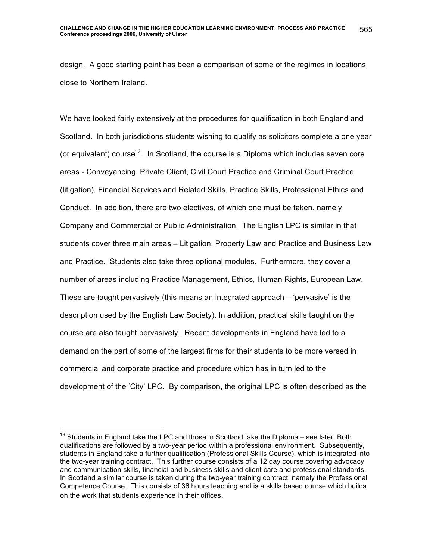design. A good starting point has been a comparison of some of the regimes in locations close to Northern Ireland.

We have looked fairly extensively at the procedures for qualification in both England and Scotland. In both jurisdictions students wishing to qualify as solicitors complete a one year (or equivalent) course<sup>13</sup>. In Scotland, the course is a Diploma which includes seven core areas - Conveyancing, Private Client, Civil Court Practice and Criminal Court Practice (litigation), Financial Services and Related Skills, Practice Skills, Professional Ethics and Conduct. In addition, there are two electives, of which one must be taken, namely Company and Commercial or Public Administration. The English LPC is similar in that students cover three main areas – Litigation, Property Law and Practice and Business Law and Practice. Students also take three optional modules. Furthermore, they cover a number of areas including Practice Management, Ethics, Human Rights, European Law. These are taught pervasively (this means an integrated approach – 'pervasive' is the description used by the English Law Society). In addition, practical skills taught on the course are also taught pervasively. Recent developments in England have led to a demand on the part of some of the largest firms for their students to be more versed in commercial and corporate practice and procedure which has in turn led to the development of the 'City' LPC. By comparison, the original LPC is often described as the

 $13$  Students in England take the LPC and those in Scotland take the Diploma – see later. Both qualifications are followed by a two-year period within a professional environment. Subsequently, students in England take a further qualification (Professional Skills Course), which is integrated into the two-year training contract. This further course consists of a 12 day course covering advocacy and communication skills, financial and business skills and client care and professional standards. In Scotland a similar course is taken during the two-year training contract, namely the Professional Competence Course. This consists of 36 hours teaching and is a skills based course which builds on the work that students experience in their offices.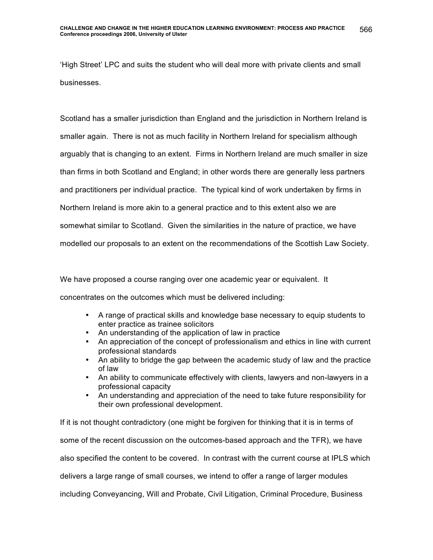'High Street' LPC and suits the student who will deal more with private clients and small businesses.

Scotland has a smaller jurisdiction than England and the jurisdiction in Northern Ireland is smaller again. There is not as much facility in Northern Ireland for specialism although arguably that is changing to an extent. Firms in Northern Ireland are much smaller in size than firms in both Scotland and England; in other words there are generally less partners and practitioners per individual practice. The typical kind of work undertaken by firms in Northern Ireland is more akin to a general practice and to this extent also we are somewhat similar to Scotland. Given the similarities in the nature of practice, we have modelled our proposals to an extent on the recommendations of the Scottish Law Society.

We have proposed a course ranging over one academic year or equivalent. It concentrates on the outcomes which must be delivered including:

- A range of practical skills and knowledge base necessary to equip students to enter practice as trainee solicitors
- An understanding of the application of law in practice
- An appreciation of the concept of professionalism and ethics in line with current professional standards
- An ability to bridge the gap between the academic study of law and the practice of law
- An ability to communicate effectively with clients, lawyers and non-lawyers in a professional capacity
- An understanding and appreciation of the need to take future responsibility for their own professional development.

If it is not thought contradictory (one might be forgiven for thinking that it is in terms of some of the recent discussion on the outcomes-based approach and the TFR), we have also specified the content to be covered. In contrast with the current course at IPLS which delivers a large range of small courses, we intend to offer a range of larger modules including Conveyancing, Will and Probate, Civil Litigation, Criminal Procedure, Business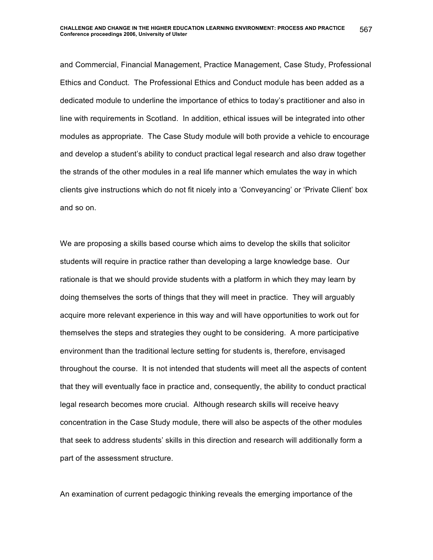and Commercial, Financial Management, Practice Management, Case Study, Professional Ethics and Conduct. The Professional Ethics and Conduct module has been added as a dedicated module to underline the importance of ethics to today's practitioner and also in line with requirements in Scotland. In addition, ethical issues will be integrated into other modules as appropriate. The Case Study module will both provide a vehicle to encourage and develop a student's ability to conduct practical legal research and also draw together the strands of the other modules in a real life manner which emulates the way in which clients give instructions which do not fit nicely into a 'Conveyancing' or 'Private Client' box and so on.

We are proposing a skills based course which aims to develop the skills that solicitor students will require in practice rather than developing a large knowledge base. Our rationale is that we should provide students with a platform in which they may learn by doing themselves the sorts of things that they will meet in practice. They will arguably acquire more relevant experience in this way and will have opportunities to work out for themselves the steps and strategies they ought to be considering. A more participative environment than the traditional lecture setting for students is, therefore, envisaged throughout the course. It is not intended that students will meet all the aspects of content that they will eventually face in practice and, consequently, the ability to conduct practical legal research becomes more crucial. Although research skills will receive heavy concentration in the Case Study module, there will also be aspects of the other modules that seek to address students' skills in this direction and research will additionally form a part of the assessment structure.

An examination of current pedagogic thinking reveals the emerging importance of the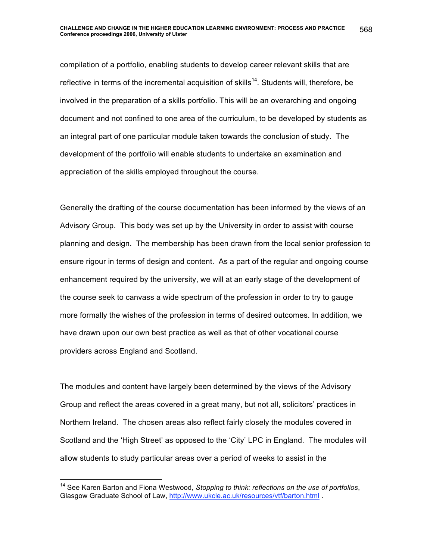compilation of a portfolio, enabling students to develop career relevant skills that are reflective in terms of the incremental acquisition of skills<sup>14</sup>. Students will, therefore, be involved in the preparation of a skills portfolio. This will be an overarching and ongoing document and not confined to one area of the curriculum, to be developed by students as an integral part of one particular module taken towards the conclusion of study. The development of the portfolio will enable students to undertake an examination and appreciation of the skills employed throughout the course.

Generally the drafting of the course documentation has been informed by the views of an Advisory Group. This body was set up by the University in order to assist with course planning and design. The membership has been drawn from the local senior profession to ensure rigour in terms of design and content. As a part of the regular and ongoing course enhancement required by the university, we will at an early stage of the development of the course seek to canvass a wide spectrum of the profession in order to try to gauge more formally the wishes of the profession in terms of desired outcomes. In addition, we have drawn upon our own best practice as well as that of other vocational course providers across England and Scotland.

The modules and content have largely been determined by the views of the Advisory Group and reflect the areas covered in a great many, but not all, solicitors' practices in Northern Ireland. The chosen areas also reflect fairly closely the modules covered in Scotland and the 'High Street' as opposed to the 'City' LPC in England. The modules will allow students to study particular areas over a period of weeks to assist in the

<sup>&</sup>lt;sup>14</sup> See Karen Barton and Fiona Westwood, Stopping to think: reflections on the use of portfolios, Glasgow Graduate School of Law, http://www.ukcle.ac.uk/resources/vtf/barton.html .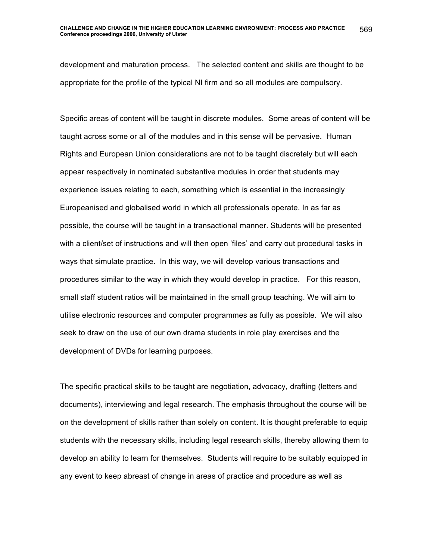development and maturation process. The selected content and skills are thought to be appropriate for the profile of the typical NI firm and so all modules are compulsory.

Specific areas of content will be taught in discrete modules. Some areas of content will be taught across some or all of the modules and in this sense will be pervasive. Human Rights and European Union considerations are not to be taught discretely but will each appear respectively in nominated substantive modules in order that students may experience issues relating to each, something which is essential in the increasingly Europeanised and globalised world in which all professionals operate. In as far as possible, the course will be taught in a transactional manner. Students will be presented with a client/set of instructions and will then open 'files' and carry out procedural tasks in ways that simulate practice. In this way, we will develop various transactions and procedures similar to the way in which they would develop in practice. For this reason, small staff student ratios will be maintained in the small group teaching. We will aim to utilise electronic resources and computer programmes as fully as possible. We will also seek to draw on the use of our own drama students in role play exercises and the development of DVDs for learning purposes.

The specific practical skills to be taught are negotiation, advocacy, drafting (letters and documents), interviewing and legal research. The emphasis throughout the course will be on the development of skills rather than solely on content. It is thought preferable to equip students with the necessary skills, including legal research skills, thereby allowing them to develop an ability to learn for themselves. Students will require to be suitably equipped in any event to keep abreast of change in areas of practice and procedure as well as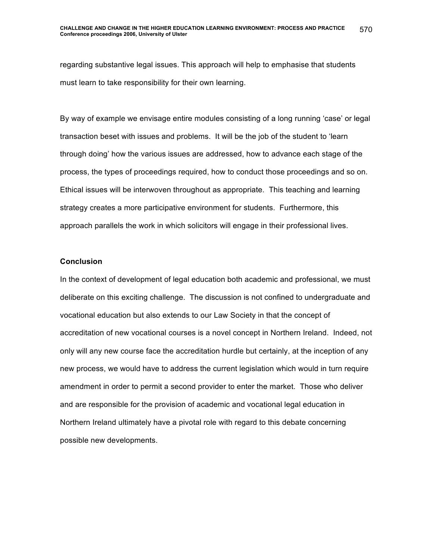regarding substantive legal issues. This approach will help to emphasise that students must learn to take responsibility for their own learning.

By way of example we envisage entire modules consisting of a long running 'case' or legal transaction beset with issues and problems. It will be the job of the student to 'learn through doing' how the various issues are addressed, how to advance each stage of the process, the types of proceedings required, how to conduct those proceedings and so on. Ethical issues will be interwoven throughout as appropriate. This teaching and learning strategy creates a more participative environment for students. Furthermore, this approach parallels the work in which solicitors will engage in their professional lives.

#### **Conclusion**

In the context of development of legal education both academic and professional, we must deliberate on this exciting challenge. The discussion is not confined to undergraduate and vocational education but also extends to our Law Society in that the concept of accreditation of new vocational courses is a novel concept in Northern Ireland. Indeed, not only will any new course face the accreditation hurdle but certainly, at the inception of any new process, we would have to address the current legislation which would in turn require amendment in order to permit a second provider to enter the market. Those who deliver and are responsible for the provision of academic and vocational legal education in Northern Ireland ultimately have a pivotal role with regard to this debate concerning possible new developments.